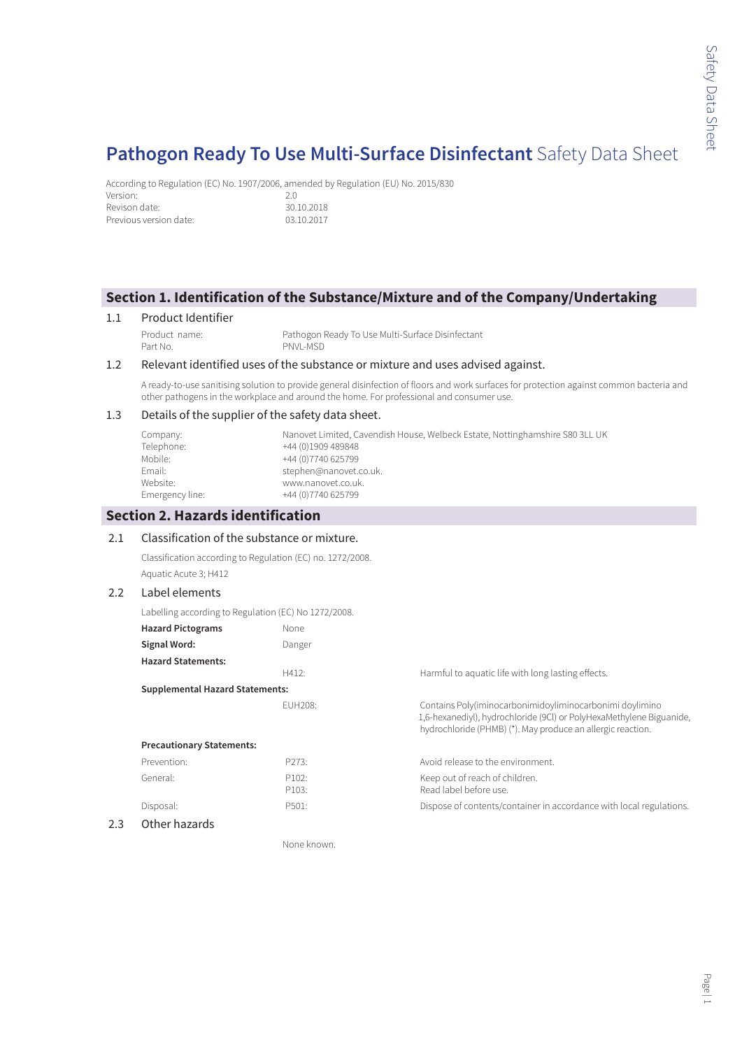According to Regulation (EC) No. 1907/2006, amended by Regulation (EU) No. 2015/830 Version: 2.0<br>Revison date: 2.0<br>30.10.2018 Revison date: Previous version date: 03.10.2017

### **Section 1. Identification of the Substance/Mixture and of the Company/Undertaking**

### 1.1 Product Identifier

Product name: Pathogon Ready To Use Multi-Surface Disinfectant PNVL-MSD

### 1.2 Relevant identified uses of the substance or mixture and uses advised against.

A ready-to-use sanitising solution to provide general disinfection of floors and work surfaces for protection against common bacteria and other pathogens in the workplace and around the home. For professional and consumer use.

### 1.3 Details of the supplier of the safety data sheet.

| Company:        | Nanovet Limited, Cavendish House, Welbeck Estate, Nottinghamshire S80 3LL UK |
|-----------------|------------------------------------------------------------------------------|
| Telephone:      | +44 (0)1909 489848                                                           |
| Mobile:         | +44 (0) 7740 625799                                                          |
| Email:          | stephen@nanovet.co.uk.                                                       |
| Website:        | www.nanovet.co.uk.                                                           |
| Emergency line: | +44 (0) 7740 625799                                                          |

### **Section 2. Hazards identification**

### 2.1 Classification of the substance or mixture.

Classification according to Regulation (EC) no. 1272/2008. Aquatic Acute 3; H412

### 2.2 Label elements

Labelling according to Regulation (EC) No 1272/2008.

| <b>Hazard Pictograms</b>               | None    |                                                                                                                                                                                                 |
|----------------------------------------|---------|-------------------------------------------------------------------------------------------------------------------------------------------------------------------------------------------------|
| Signal Word:                           | Danger  |                                                                                                                                                                                                 |
| <b>Hazard Statements:</b>              |         |                                                                                                                                                                                                 |
|                                        | H412:   | Harmful to aquatic life with long lasting effects.                                                                                                                                              |
| <b>Supplemental Hazard Statements:</b> |         |                                                                                                                                                                                                 |
|                                        | FUH208: | Contains Poly(iminocarbonimidoyliminocarbonimi doylimino<br>1,6-hexanediyl), hydrochloride (9Cl) or PolyHexaMethylene Biguanide,<br>hydrochloride (PHMB) (*). May produce an allergic reaction. |
| <b>Precautionary Statements:</b>       |         |                                                                                                                                                                                                 |
| Prevention:                            | P273:   | Avoid release to the environment.                                                                                                                                                               |
| General:                               | P102:   | Keep out of reach of children.                                                                                                                                                                  |
|                                        | P103:   | Read label before use                                                                                                                                                                           |
| Disposal:                              | P501:   | Dispose of contents/container in accordance with local regulations.                                                                                                                             |
| Other hazards                          |         |                                                                                                                                                                                                 |

None known.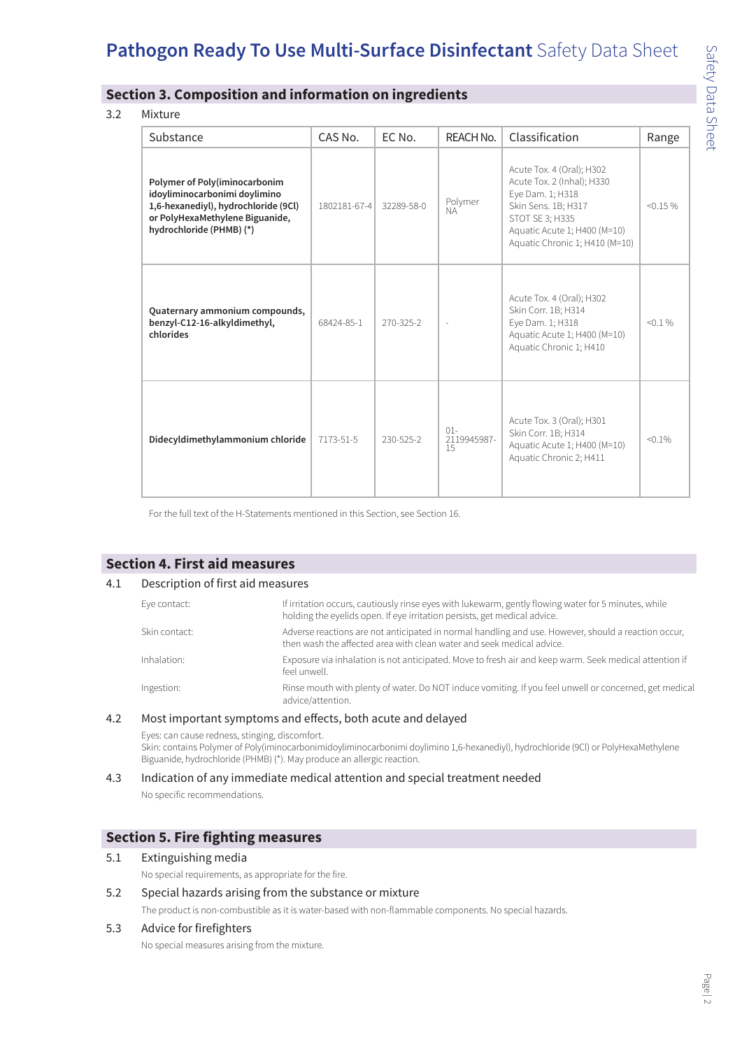### **Section 3. Composition and information on ingredients**

#### 3.2 Mixture

| Substance                                                                                                                                                             | CAS No.      | EC No.     | REACH No.                   | Classification                                                                                                                                                                          | Range       |
|-----------------------------------------------------------------------------------------------------------------------------------------------------------------------|--------------|------------|-----------------------------|-----------------------------------------------------------------------------------------------------------------------------------------------------------------------------------------|-------------|
| Polymer of Poly(iminocarbonim<br>idoyliminocarbonimi doylimino<br>1,6-hexanediyl), hydrochloride (9Cl)<br>or PolyHexaMethylene Biguanide,<br>hydrochloride (PHMB) (*) | 1802181-67-4 | 32289-58-0 | Polymer<br><b>NA</b>        | Acute Tox. 4 (Oral); H302<br>Acute Tox. 2 (Inhal); H330<br>Eye Dam. 1; H318<br>Skin Sens. 1B; H317<br>STOT SE 3; H335<br>Aquatic Acute 1; H400 (M=10)<br>Aquatic Chronic 1; H410 (M=10) | $< 0.15 \%$ |
| Quaternary ammonium compounds,<br>benzyl-C12-16-alkyldimethyl,<br>chlorides                                                                                           | 68424-85-1   | 270-325-2  |                             | Acute Tox. 4 (Oral); H302<br>Skin Corr. 1B; H314<br>Eye Dam. 1; H318<br>Aquatic Acute 1; H400 (M=10)<br>Aquatic Chronic 1; H410                                                         | $< 0.1 \%$  |
| Didecyldimethylammonium chloride                                                                                                                                      | 7173-51-5    | 230-525-2  | $01 -$<br>2119945987-<br>15 | Acute Tox. 3 (Oral); H301<br>Skin Corr. 1B; H314<br>Aquatic Acute 1; H400 (M=10)<br>Aquatic Chronic 2; H411                                                                             | $< 0.1\%$   |

For the full text of the H-Statements mentioned in this Section, see Section 16.

### **Section 4. First aid measures**

### 4.1 Description of first aid measures

| Eye contact:  | If irritation occurs, cautiously rinse eyes with lukewarm, gently flowing water for 5 minutes, while<br>holding the eyelids open. If eye irritation persists, get medical advice. |
|---------------|-----------------------------------------------------------------------------------------------------------------------------------------------------------------------------------|
| Skin contact: | Adverse reactions are not anticipated in normal handling and use. However, should a reaction occur,<br>then wash the affected area with clean water and seek medical advice.      |
| Inhalation:   | Exposure via inhalation is not anticipated. Move to fresh air and keep warm. Seek medical attention if<br>feel unwell.                                                            |
| Ingestion:    | Rinse mouth with plenty of water. Do NOT induce vomiting. If you feel unwell or concerned, get medical<br>advice/attention.                                                       |

#### 4.2 Most important symptoms and effects, both acute and delayed

Eyes: can cause redness, stinging, discomfort. Skin: contains Polymer of Poly(iminocarbonimidoyliminocarbonimi doylimino 1,6-hexanediyl), hydrochloride (9Cl) or PolyHexaMethylene Biguanide, hydrochloride (PHMB) (\*). May produce an allergic reaction.

### 4.3 Indication of any immediate medical attention and special treatment needed

No specific recommendations.

### **Section 5. Fire fighting measures**

### 5.1 Extinguishing media

No special requirements, as appropriate for the fire.

### 5.2 Special hazards arising from the substance or mixture

The product is non-combustible as it is water-based with non-flammable components. No special hazards.

### 5.3 Advice for firefighters

No special measures arising from the mixture.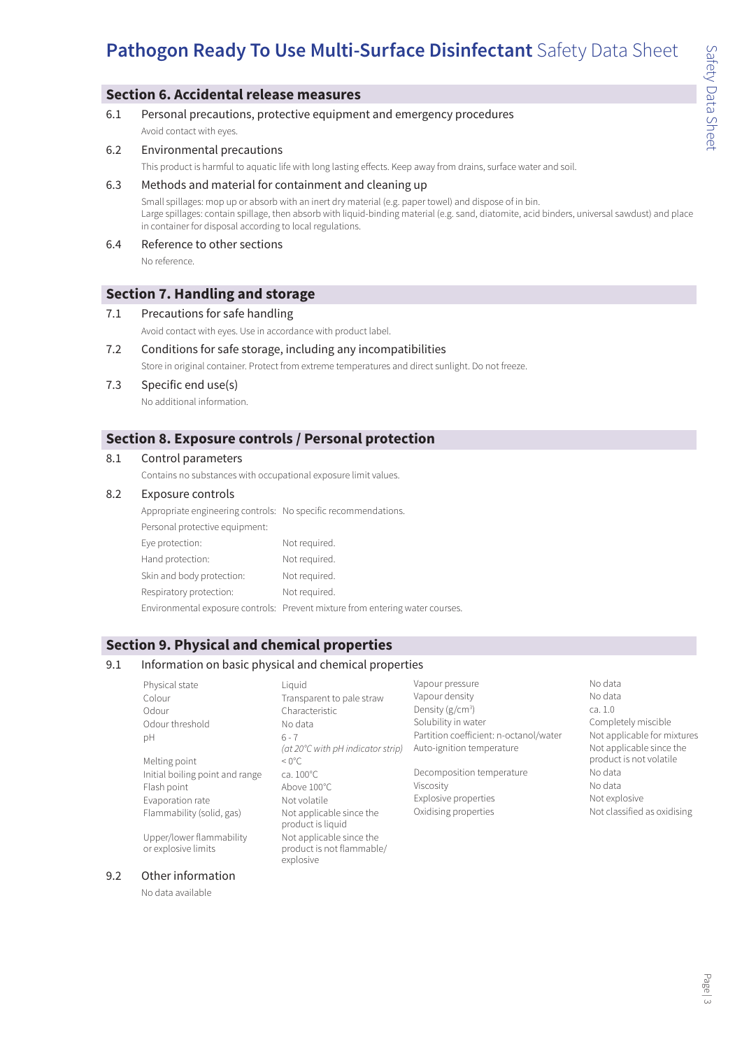### **Section 6. Accidental release measures**

6.1 Personal precautions, protective equipment and emergency procedures Avoid contact with eyes.

#### 6.2 Environmental precautions

This product is harmful to aquatic life with long lasting effects. Keep away from drains, surface water and soil.

### 6.3 Methods and material for containment and cleaning up

Small spillages: mop up or absorb with an inert dry material (e.g. paper towel) and dispose of in bin. Large spillages: contain spillage, then absorb with liquid-binding material (e.g. sand, diatomite, acid binders, universal sawdust) and place in container for disposal according to local regulations.

6.4 Reference to other sections No reference.

### **Section 7. Handling and storage**

#### 7.1 Precautions for safe handling

Avoid contact with eyes. Use in accordance with product label.

7.2 Conditions for safe storage, including any incompatibilities

Store in original container. Protect from extreme temperatures and direct sunlight. Do not freeze.

7.3 Specific end use(s) No additional information.

## **Section 8. Exposure controls / Personal protection**

#### 8.1 Control parameters

Contains no substances with occupational exposure limit values.

#### 8.2 Exposure controls

Appropriate engineering controls: No specific recommendations.

| Personal protective equipment: |                                                                               |
|--------------------------------|-------------------------------------------------------------------------------|
| Eye protection:                | Not required.                                                                 |
| Hand protection:               | Not required.                                                                 |
| Skin and body protection:      | Not required.                                                                 |
| Respiratory protection:        | Not required.                                                                 |
|                                | Environmental exposure controls: Prevent mixture from entering water courses. |

### **Section 9. Physical and chemical properties**

### 9.1 Information on basic physical and chemical properties

| Physical state                                  | Liquid                                                             | Vapour pressure                        | No data                     |
|-------------------------------------------------|--------------------------------------------------------------------|----------------------------------------|-----------------------------|
| Colour                                          | Transparent to pale straw                                          | Vapour density                         | No data                     |
| Odour                                           | Characteristic                                                     | Density ( $g/cm3$ )                    | ca.1.0                      |
| Odour threshold                                 | No data                                                            | Solubility in water                    | Completely miscible         |
| рH                                              | $6 - 7$                                                            | Partition coefficient: n-octanol/water | Not applicable for mixtures |
|                                                 | (at 20℃ with pH indicator strip)                                   | Auto-ignition temperature              | Not applicable since the    |
| Melting point                                   | $< 0^{\circ}$ C.                                                   |                                        | product is not volatile     |
| Initial boiling point and range                 | ca. 100°C                                                          | Decomposition temperature              | No data                     |
| Flash point                                     | Above 100°C                                                        | Viscosity                              | No data                     |
| Evaporation rate                                | Not volatile                                                       | Explosive properties                   | Not explosive               |
| Flammability (solid, gas)                       | Not applicable since the<br>product is liquid                      | Oxidising properties                   | Not classified as oxidising |
| Upper/lower flammability<br>or explosive limits | Not applicable since the<br>product is not flammable/<br>explosive |                                        |                             |

### 9.2 Other information

No data available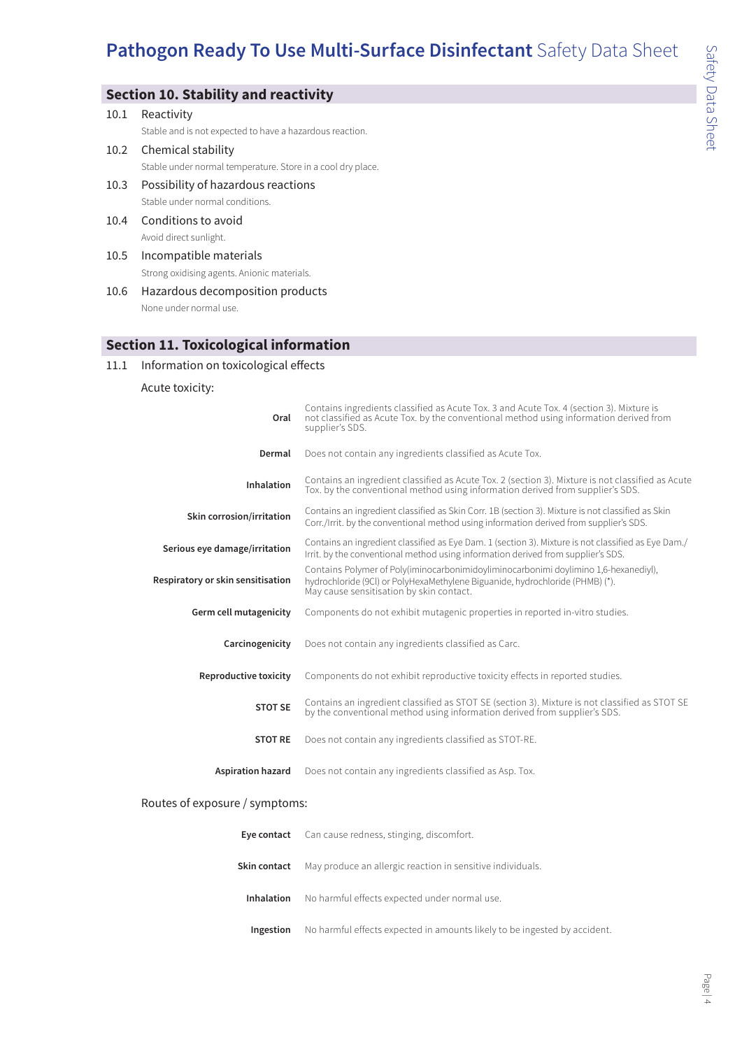# **Section 10. Stability and reactivity**

|      | 10.1 Reactivity                                             |
|------|-------------------------------------------------------------|
|      | Stable and is not expected to have a hazardous reaction.    |
|      | 10.2 Chemical stability                                     |
|      | Stable under normal temperature. Store in a cool dry place. |
| 10.3 | Possibility of hazardous reactions                          |
|      | Stable under normal conditions.                             |
|      | 10.4 Conditions to avoid                                    |
|      | Avoid direct sunlight.                                      |
| 10.5 | Incompatible materials                                      |
|      | Strong oxidising agents. Anionic materials.                 |
| 10.6 | Hazardous decomposition products                            |

None under normal use.

### **Section 11. Toxicological information**

### 11.1 Information on toxicological effects

Acute toxicity:

| Oral                              | Contains ingredients classified as Acute Tox. 3 and Acute Tox. 4 (section 3). Mixture is<br>not classified as Acute Tox. by the conventional method using information derived from<br>supplier's SDS.             |
|-----------------------------------|-------------------------------------------------------------------------------------------------------------------------------------------------------------------------------------------------------------------|
| Dermal                            | Does not contain any ingredients classified as Acute Tox.                                                                                                                                                         |
| Inhalation                        | Contains an ingredient classified as Acute Tox. 2 (section 3). Mixture is not classified as Acute<br>Tox, by the conventional method using information derived from supplier's SDS.                               |
| Skin corrosion/irritation         | Contains an ingredient classified as Skin Corr. 1B (section 3). Mixture is not classified as Skin<br>Corr./Irrit. by the conventional method using information derived from supplier's SDS.                       |
| Serious eye damage/irritation     | Contains an ingredient classified as Eye Dam. 1 (section 3). Mixture is not classified as Eye Dam./<br>Irrit. by the conventional method using information derived from supplier's SDS.                           |
| Respiratory or skin sensitisation | Contains Polymer of Poly(iminocarbonimidoyliminocarbonimi doylimino 1,6-hexanediyl),<br>hydrochloride (9Cl) or PolyHexaMethylene Biguanide, hydrochloride (PHMB) (*).<br>May cause sensitisation by skin contact. |
| Germ cell mutagenicity            | Components do not exhibit mutagenic properties in reported in-vitro studies.                                                                                                                                      |
| Carcinogenicity                   | Does not contain any ingredients classified as Carc.                                                                                                                                                              |
| Reproductive toxicity             | Components do not exhibit reproductive toxicity effects in reported studies.                                                                                                                                      |
| <b>STOT SE</b>                    | Contains an ingredient classified as STOT SE (section 3). Mixture is not classified as STOT SE<br>by the conventional method using information derived from supplier's SDS.                                       |
| <b>STOT RE</b>                    | Does not contain any ingredients classified as STOT-RE.                                                                                                                                                           |
| <b>Aspiration hazard</b>          | Does not contain any ingredients classified as Asp. Tox.                                                                                                                                                          |

### Routes of exposure / symptoms:

|                   | <b>Eye contact</b> Can cause redness, stinging, discomfort.               |
|-------------------|---------------------------------------------------------------------------|
| Skin contact      | May produce an allergic reaction in sensitive individuals.                |
| <b>Inhalation</b> | No harmful effects expected under normal use.                             |
| Ingestion         | No harmful effects expected in amounts likely to be ingested by accident. |